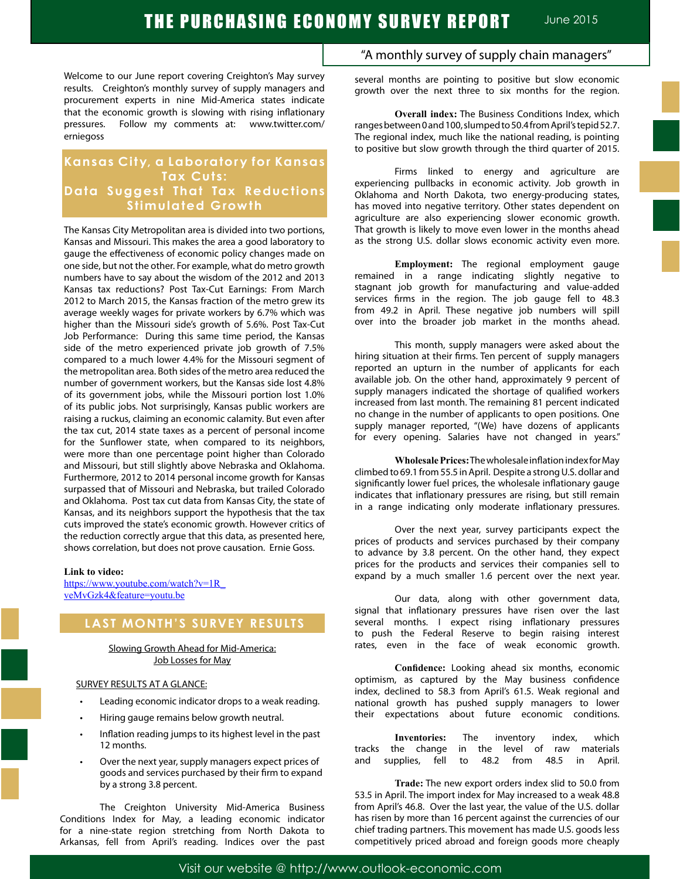Welcome to our June report covering Creighton's May survey results. Creighton's monthly survey of supply managers and procurement experts in nine Mid-America states indicate that the economic growth is slowing with rising inflationary pressures. Follow my comments at: www.twitter.com/ erniegoss

## **Kansas City, a Laboratory for Kansas Tax Cuts: Data Suggest That Tax Reductions Stimulated Growth**

The Kansas City Metropolitan area is divided into two portions, Kansas and Missouri. This makes the area a good laboratory to gauge the effectiveness of economic policy changes made on one side, but not the other. For example, what do metro growth numbers have to say about the wisdom of the 2012 and 2013 Kansas tax reductions? Post Tax-Cut Earnings: From March 2012 to March 2015, the Kansas fraction of the metro grew its average weekly wages for private workers by 6.7% which was higher than the Missouri side's growth of 5.6%. Post Tax-Cut Job Performance: During this same time period, the Kansas side of the metro experienced private job growth of 7.5% compared to a much lower 4.4% for the Missouri segment of the metropolitan area. Both sides of the metro area reduced the number of government workers, but the Kansas side lost 4.8% of its government jobs, while the Missouri portion lost 1.0% of its public jobs. Not surprisingly, Kansas public workers are raising a ruckus, claiming an economic calamity. But even after the tax cut, 2014 state taxes as a percent of personal income for the Sunflower state, when compared to its neighbors, were more than one percentage point higher than Colorado and Missouri, but still slightly above Nebraska and Oklahoma. Furthermore, 2012 to 2014 personal income growth for Kansas surpassed that of Missouri and Nebraska, but trailed Colorado and Oklahoma. Post tax cut data from Kansas City, the state of Kansas, and its neighbors support the hypothesis that the tax cuts improved the state's economic growth. However critics of the reduction correctly argue that this data, as presented here, shows correlation, but does not prove causation. Ernie Goss.

#### **Link to video:**

https://www.youtube.com/watch?v=1R\_ veMvGzk4&feature=youtu.be

## **LAST MONTH'S SURVEY RESULTS**

Slowing Growth Ahead for Mid-America: Job Losses for May

### SURVEY RESULTS AT A GLANCE:

- Leading economic indicator drops to a weak reading.
- Hiring gauge remains below growth neutral.
- Inflation reading jumps to its highest level in the past 12 months.
- Over the next year, supply managers expect prices of goods and services purchased by their firm to expand by a strong 3.8 percent.

 The Creighton University Mid-America Business Conditions Index for May, a leading economic indicator for a nine-state region stretching from North Dakota to Arkansas, fell from April's reading. Indices over the past

## "A monthly survey of supply chain managers"

several months are pointing to positive but slow economic growth over the next three to six months for the region.

**Overall index:** The Business Conditions Index, which ranges between 0 and 100, slumped to 50.4 from April's tepid 52.7. The regional index, much like the national reading, is pointing to positive but slow growth through the third quarter of 2015.

Firms linked to energy and agriculture are experiencing pullbacks in economic activity. Job growth in Oklahoma and North Dakota, two energy-producing states, has moved into negative territory. Other states dependent on agriculture are also experiencing slower economic growth. That growth is likely to move even lower in the months ahead as the strong U.S. dollar slows economic activity even more.

**Employment:** The regional employment gauge remained in a range indicating slightly negative to stagnant job growth for manufacturing and value-added services firms in the region. The job gauge fell to 48.3 from 49.2 in April. These negative job numbers will spill over into the broader job market in the months ahead.

This month, supply managers were asked about the hiring situation at their firms. Ten percent of supply managers reported an upturn in the number of applicants for each available job. On the other hand, approximately 9 percent of supply managers indicated the shortage of qualified workers increased from last month. The remaining 81 percent indicated no change in the number of applicants to open positions. One supply manager reported, "(We) have dozens of applicants for every opening. Salaries have not changed in years."

**Wholesale Prices:** The wholesale inflation index for May climbed to 69.1 from 55.5 in April. Despite a strong U.S. dollar and significantly lower fuel prices, the wholesale inflationary gauge indicates that inflationary pressures are rising, but still remain in a range indicating only moderate inflationary pressures.

Over the next year, survey participants expect the prices of products and services purchased by their company to advance by 3.8 percent. On the other hand, they expect prices for the products and services their companies sell to expand by a much smaller 1.6 percent over the next year.

Our data, along with other government data, signal that inflationary pressures have risen over the last several months. I expect rising inflationary pressures to push the Federal Reserve to begin raising interest rates, even in the face of weak economic growth.

**Confidence:** Looking ahead six months, economic optimism, as captured by the May business confidence index, declined to 58.3 from April's 61.5. Weak regional and national growth has pushed supply managers to lower their expectations about future economic conditions.

**Inventories:** The inventory index, which tracks the change in the level of raw materials and supplies, fell to 48.2 from 48.5 in April.

**Trade:** The new export orders index slid to 50.0 from 53.5 in April. The import index for May increased to a weak 48.8 from April's 46.8. Over the last year, the value of the U.S. dollar has risen by more than 16 percent against the currencies of our chief trading partners. This movement has made U.S. goods less competitively priced abroad and foreign goods more cheaply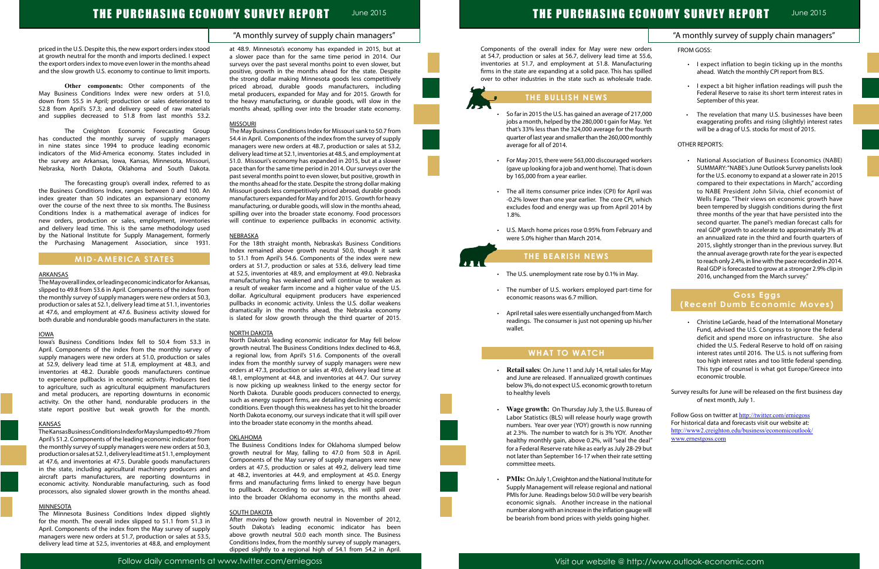## "A monthly survey of supply chain managers"

# THE PURCHASING ECONOMY SURVEY REPORT June 2015

priced in the U.S. Despite this, the new export orders index stood at growth neutral for the month and imports declined. I expect the export orders index to move even lower in the months ahead and the slow growth U.S. economy to continue to limit imports.

**Other components:** Other components of the May Business Conditions Index were new orders at 51.0, down from 55.5 in April; production or sales deteriorated to 52.8 from April's 57.3; and delivery speed of raw materials and supplies decreased to 51.8 from last month's 53.2.

The Creighton Economic Forecasting Group has conducted the monthly survey of supply managers in nine states since 1994 to produce leading economic indicators of the Mid-America economy. States included in the survey are Arkansas, Iowa, Kansas, Minnesota, Missouri, Nebraska, North Dakota, Oklahoma and South Dakota.

The forecasting group's overall index, referred to as the Business Conditions Index, ranges between 0 and 100. An index greater than 50 indicates an expansionary economy over the course of the next three to six months. The Business Conditions Index is a mathematical average of indices for new orders, production or sales, employment, inventories and delivery lead time. This is the same methodology used by the National Institute for Supply Management, formerly the Purchasing Management Association, since 1931.

## **MID-AMERICA STATES**

#### ARKANSAS

The May overall index, or leading economic indicator for Arkansas, slipped to 49.8 from 53.6 in April. Components of the index from the monthly survey of supply managers were new orders at 50.3, production or sales at 52.1, delivery lead time at 51.1, inventories at 47.6, and employment at 47.6. Business activity slowed for both durable and nondurable goods manufacturers in the state.

#### IOWA

Iowa's Business Conditions Index fell to 50.4 from 53.3 in April. Components of the index from the monthly survey of supply managers were new orders at 51.0, production or sales at 52.9, delivery lead time at 51.8, employment at 48.3, and inventories at 48.2. Durable goods manufacturers continue to experience pullbacks in economic activity. Producers tied to agriculture, such as agricultural equipment manufacturers and metal producers, are reporting downturns in economic activity. On the other hand, nondurable producers in the state report positive but weak growth for the month.

The May Business Conditions Index for Missouri sank to 50.7 from 54.4 in April. Components of the index from the survey of supply managers were new orders at 48.7, production or sales at 53.2, delivery lead time at 52.1, inventories at 48.5, and employment at 51.0. Missouri's economy has expanded in 2015, but at a slower pace than for the same time period in 2014. Our surveys over the past several months point to even slower, but positive, growth in the months ahead for the state. Despite the strong dollar making Missouri goods less competitively priced abroad, durable goods manufacturers expanded for May and for 2015. Growth for heavy manufacturing, or durable goods, will slow in the months ahead, spilling over into the broader state economy. Food processors will continue to experience pullbacks in economic activity.

### **NEBRASKA**

#### KANSAS

TheKansasBusinessConditionsIndexforMayslumpedto49.7from April's 51.2. Components of the leading economic indicator from the monthly survey of supply managers were new orders at 50.3, production or sales at 52.1, delivery lead time at 51.1, employment at 47.6, and inventories at 47.5. Durable goods manufacturers in the state, including agricultural machinery producers and aircraft parts manufacturers, are reporting downturns in economic activity. Nondurable manufacturing, such as food processors, also signaled slower growth in the months ahead.

### MINNESOTA

The Minnesota Business Conditions Index dipped slightly for the month. The overall index slipped to 51.1 from 51.3 in April. Components of the index from the May survey of supply managers were new orders at 51.7, production or sales at 53.5, delivery lead time at 52.5, inventories at 48.8, and employment at 48.9. Minnesota's economy has expanded in 2015, but at a slower pace than for the same time period in 2014. Our surveys over the past several months point to even slower, but positive, growth in the months ahead for the state. Despite the strong dollar making Minnesota goods less competitively priced abroad, durable goods manufacturers, including metal producers, expanded for May and for 2015. Growth for the heavy manufacturing, or durable goods, will slow in the months ahead, spilling over into the broader state economy.

- So far in 2015 the U.S. has gained an average of 217, jobs a month, helped by the  $280,000$  t gain for May. that's 33% less than the 324,000 average for the fou quarter of last year and smaller than the 260,000 mont average for all of 2014.
- For May 2015, there were 563,000 discouraged work (gave up looking for a job and went home). That is do by 165,000 from a year earlier.
- The all items consumer price index (CPI) for April -0.2% lower than one year earlier. The core CPI, wh excludes food and energy was up from April 2014 1.8%.
- U.S. March home prices rose 0.95% from February were 5.0% higher than March 2014.

#### MISSOURI

- The U.S. unemployment rate rose by 0.1% in May.
- $\cdot$  The number of U.S. workers employed part-time economic reasons was 6.7 million.
- April retail sales were essentially unchanged from Ma readings. The consumer is just not opening up his/ wallet.

For the 18th straight month, Nebraska's Business Conditions Index remained above growth neutral 50.0, though it sank to 51.1 from April's 54.6. Components of the index were new orders at 51.7, production or sales at 53.6, delivery lead time at 52.5, inventories at 48.9, and employment at 49.0. Nebraska manufacturing has weakened and will continue to weaken as a result of weaker farm income and a higher value of the U.S. dollar. Agricultural equipment producers have experienced pullbacks in economic activity. Unless the U.S. dollar weakens dramatically in the months ahead, the Nebraska economy is slated for slow growth through the third quarter of 2015.

#### NORTH DAKOTA

| THE PURCHASING ECONOMY SURVEY REPORT                                                                                                                                                                                                                                                                                                                     | <b>June 2015</b>                                                                                                                                                                                                                                                                                                                                                                                                                                                                                                                                                                                                                                                                                                                                                                                                                                                                                                                |
|----------------------------------------------------------------------------------------------------------------------------------------------------------------------------------------------------------------------------------------------------------------------------------------------------------------------------------------------------------|---------------------------------------------------------------------------------------------------------------------------------------------------------------------------------------------------------------------------------------------------------------------------------------------------------------------------------------------------------------------------------------------------------------------------------------------------------------------------------------------------------------------------------------------------------------------------------------------------------------------------------------------------------------------------------------------------------------------------------------------------------------------------------------------------------------------------------------------------------------------------------------------------------------------------------|
|                                                                                                                                                                                                                                                                                                                                                          | "A monthly survey of supply chain managers"                                                                                                                                                                                                                                                                                                                                                                                                                                                                                                                                                                                                                                                                                                                                                                                                                                                                                     |
| e overall index for May were new orders<br>or sales at 56.7, delivery lead time at 55.6,<br>, and employment at 51.8. Manufacturing<br>e expanding at a solid pace. This has spilled<br>stries in the state such as wholesale trade.                                                                                                                     | <b>FROM GOSS:</b><br>I expect inflation to begin ticking up in the months<br>ahead. Watch the monthly CPI report from BLS.                                                                                                                                                                                                                                                                                                                                                                                                                                                                                                                                                                                                                                                                                                                                                                                                      |
| <b>IE BULLISH NEWS</b>                                                                                                                                                                                                                                                                                                                                   | I expect a bit higher inflation readings will push the<br>$\bullet$<br>Federal Reserve to raise its short term interest rates in<br>September of this year.                                                                                                                                                                                                                                                                                                                                                                                                                                                                                                                                                                                                                                                                                                                                                                     |
| 015 the U.S. has gained an average of 217,000<br>nth, helped by the 280,000 t gain for May. Yet<br>less than the 324,000 average for the fourth<br>last year and smaller than the 260,000 monthly<br>or all of 2014.                                                                                                                                     | The revelation that many U.S. businesses have been<br>$\bullet$<br>exaggerating profits and rising (slightly) interest rates<br>will be a drag of U.S. stocks for most of 2015.<br><b>OTHER REPORTS:</b>                                                                                                                                                                                                                                                                                                                                                                                                                                                                                                                                                                                                                                                                                                                        |
| 015, there were 563,000 discouraged workers<br>boking for a job and went home). That is down<br>0 from a year earlier.<br>ms consumer price index (CPI) for April was<br>er than one year earlier. The core CPI, which<br>food and energy was up from April 2014 by<br>home prices rose 0.95% from February and<br>higher than March 2014.               | National Association of Business Economics (NABE)<br>SUMMARY: "NABE's June Outlook Survey panelists look<br>for the U.S. economy to expand at a slower rate in 2015<br>compared to their expectations in March," according<br>to NABE President John Silvia, chief economist of<br>Wells Fargo. "Their views on economic growth have<br>been tempered by sluggish conditions during the first<br>three months of the year that have persisted into the<br>second quarter. The panel's median forecast calls for<br>real GDP growth to accelerate to approximately 3% at<br>an annualized rate in the third and fourth quarters of<br>2015, slightly stronger than in the previous survey. But<br>the annual average growth rate for the year is expected<br>to reach only 2.4%, in line with the pace recorded in 2014.<br>Real GDP is forecasted to grow at a stronger 2.9% clip in<br>2016, unchanged from the March survey." |
| <b>E BEARISH NEWS</b><br>nemployment rate rose by 0.1% in May.                                                                                                                                                                                                                                                                                           |                                                                                                                                                                                                                                                                                                                                                                                                                                                                                                                                                                                                                                                                                                                                                                                                                                                                                                                                 |
| per of U.S. workers employed part-time for<br>reasons was 6.7 million.<br>sales were essentially unchanged from March<br>The consumer is just not opening up his/her                                                                                                                                                                                     | <b>Goss Eggs</b><br>(Recent Dumb Economic Moves)<br>Christine LeGarde, head of the International Monetary<br>$\bullet$<br>Fund, advised the U.S. Congress to ignore the federal                                                                                                                                                                                                                                                                                                                                                                                                                                                                                                                                                                                                                                                                                                                                                 |
| <b>IHAT TO WATCH</b><br>les: On June 11 and July 14, retail sales for May                                                                                                                                                                                                                                                                                | deficit and spend more on infrastructure. She also<br>chided the U.S. Federal Reserve to hold off on raising<br>interest rates until 2016. The U.S. is not suffering from<br>too high interest rates and too little federal spending.<br>This type of counsel is what got Europe/Greece into<br>economic trouble.                                                                                                                                                                                                                                                                                                                                                                                                                                                                                                                                                                                                               |
| are released. If annualized growth continues<br>do not expect U.S. economic growth to return<br>levels                                                                                                                                                                                                                                                   | Survey results for June will be released on the first business day<br>of next month, July 1.                                                                                                                                                                                                                                                                                                                                                                                                                                                                                                                                                                                                                                                                                                                                                                                                                                    |
| owth: On Thursday July 3, the U.S. Bureau of<br>tistics (BLS) will release hourly wage growth<br>Year over year (YOY) growth is now running<br>he number to watch for is 3% YOY. Another<br>onthly gain, above 0.2%, will "seal the deal"<br>ral Reserve rate hike as early as July 28-29 but<br>han September 16-17 when their rate setting<br>e meets. | Follow Goss on twitter at http://twitter.com/erniegoss<br>For historical data and forecasts visit our website at:<br>http://www2.creighton.edu/business/economicoutlook/<br>www.ernestgoss.com                                                                                                                                                                                                                                                                                                                                                                                                                                                                                                                                                                                                                                                                                                                                  |
| I July 1, Creighton and the National Institute for<br>anagement will release regional and national<br>une. Readings below 50.0 will be very bearish<br>signals. Another increase in the national<br>ong with an increase in the inflation gauge will<br>i from bond prices with yields going higher.                                                     |                                                                                                                                                                                                                                                                                                                                                                                                                                                                                                                                                                                                                                                                                                                                                                                                                                                                                                                                 |

North Dakota's leading economic indicator for May fell below growth neutral. The Business Conditions Index declined to 46.8, a regional low, from April's 51.6. Components of the overall index from the monthly survey of supply managers were new orders at 47.3, production or sales at 49.0, delivery lead time at 48.1, employment at 44.8, and inventories at 44.7. Our survey is now picking up weakness linked to the energy sector for North Dakota. Durable goods producers connected to energy, such as energy support firms, are detailing declining economic conditions. Even though this weakness has yet to hit the broader North Dakota economy, our surveys indicate that it will spill over into the broader state economy in the months ahead.

#### **OKLAHOMA**

The Business Conditions Index for Oklahoma slumped below growth neutral for May, falling to 47.0 from 50.8 in April. Components of the May survey of supply managers were new orders at 47.5, production or sales at 49.2, delivery lead time at 48.2, inventories at 44.9, and employment at 45.0. Energy firms and manufacturing firms linked to energy have begun to pullback. According to our surveys, this will spill over into the broader Oklahoma economy in the months ahead.

#### SOUTH DAKOTA

After moving below growth neutral in November of 2012, South Dakota's leading economic indicator has been above growth neutral 50.0 each month since. The Business Conditions Index, from the monthly survey of supply managers, dipped slightly to a regional high of 54.1 from 54.2 in April.

Components of the overall index for May were new ord at 54.7, production or sales at 56.7, delivery lead time at 55. inventories at 51.7, and employment at 51.8. Manufacturi firms in the state are expanding at a solid pace. This has spil over to other industries in the state such as wholesale tra

## **THE BULLISH NEWS**

## **THE BEARISH NEWS**

## **WHAT TO WATCH**

- Retail sales: On June 11 and July 14, retail sales for M and June are released. If annualized growth continu below 3%, do not expect U.S. economic growth to retu to healthy levels
- Wage growth: On Thursday July 3, the U.S. Bureau Labor Statistics (BLS) will release hourly wage grov numbers. Year over year (YOY) growth is now running at 2.3%. The number to watch for is 3% YOY. Another healthy monthly gain, above 0.2%, will "seal the defor a Federal Reserve rate hike as early as July 28-29 not later than September 16-17 when their rate sett committee meets.
- **PMIs:** On July 1, Creighton and the National Institute Supply Management will release regional and natio PMIs for June. Readings below 50.0 will be very bear economic signals. Another increase in the nation number along with an increase in the inflation gauge be bearish from bond prices with yields going high